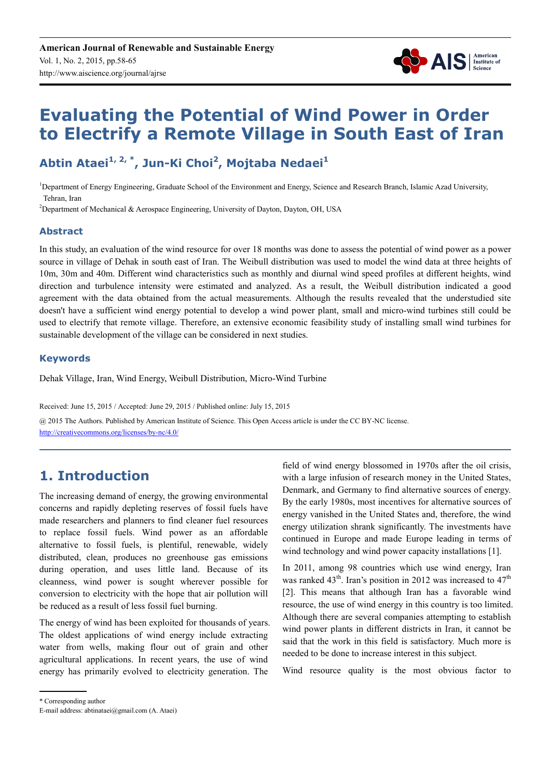

# **Evaluating the Potential of Wind Power in Order to Electrify a Remote Village in South East of Iran**

**Abtin Ataei1, 2, \*, Jun-Ki Choi<sup>2</sup> , Mojtaba Nedaei<sup>1</sup>**

<sup>1</sup>Department of Energy Engineering, Graduate School of the Environment and Energy, Science and Research Branch, Islamic Azad University, Tehran, Iran

<sup>2</sup>Department of Mechanical & Aerospace Engineering, University of Dayton, Dayton, OH, USA

#### **Abstract**

In this study, an evaluation of the wind resource for over 18 months was done to assess the potential of wind power as a power source in village of Dehak in south east of Iran. The Weibull distribution was used to model the wind data at three heights of 10m, 30m and 40m. Different wind characteristics such as monthly and diurnal wind speed profiles at different heights, wind direction and turbulence intensity were estimated and analyzed. As a result, the Weibull distribution indicated a good agreement with the data obtained from the actual measurements. Although the results revealed that the understudied site doesn't have a sufficient wind energy potential to develop a wind power plant, small and micro-wind turbines still could be used to electrify that remote village. Therefore, an extensive economic feasibility study of installing small wind turbines for sustainable development of the village can be considered in next studies.

#### **Keywords**

Dehak Village, Iran, Wind Energy, Weibull Distribution, Micro-Wind Turbine

Received: June 15, 2015 / Accepted: June 29, 2015 / Published online: July 15, 2015

@ 2015 The Authors. Published by American Institute of Science. This Open Access article is under the CC BY-NC license. http://creativecommons.org/licenses/by-nc/4.0/

### **1. Introduction**

The increasing demand of energy, the growing environmental concerns and rapidly depleting reserves of fossil fuels have made researchers and planners to find cleaner fuel resources to replace fossil fuels. Wind power as an affordable alternative to fossil fuels, is plentiful, renewable, widely distributed, clean, produces no greenhouse gas emissions during operation, and uses little land. Because of its cleanness, wind power is sought wherever possible for conversion to electricity with the hope that air pollution will be reduced as a result of less fossil fuel burning.

The energy of wind has been exploited for thousands of years. The oldest applications of wind energy include extracting water from wells, making flour out of grain and other agricultural applications. In recent years, the use of wind energy has primarily evolved to electricity generation. The

field of wind energy blossomed in 1970s after the oil crisis, with a large infusion of research money in the United States, Denmark, and Germany to find alternative sources of energy. By the early 1980s, most incentives for alternative sources of energy vanished in the United States and, therefore, the wind energy utilization shrank significantly. The investments have continued in Europe and made Europe leading in terms of wind technology and wind power capacity installations [1].

In 2011, among 98 countries which use wind energy, Iran was ranked  $43<sup>th</sup>$ . Iran's position in 2012 was increased to  $47<sup>th</sup>$ [2]. This means that although Iran has a favorable wind resource, the use of wind energy in this country is too limited. Although there are several companies attempting to establish wind power plants in different districts in Iran, it cannot be said that the work in this field is satisfactory. Much more is needed to be done to increase interest in this subject.

Wind resource quality is the most obvious factor to

\* Corresponding author

E-mail address: abtinataei@gmail.com (A. Ataei)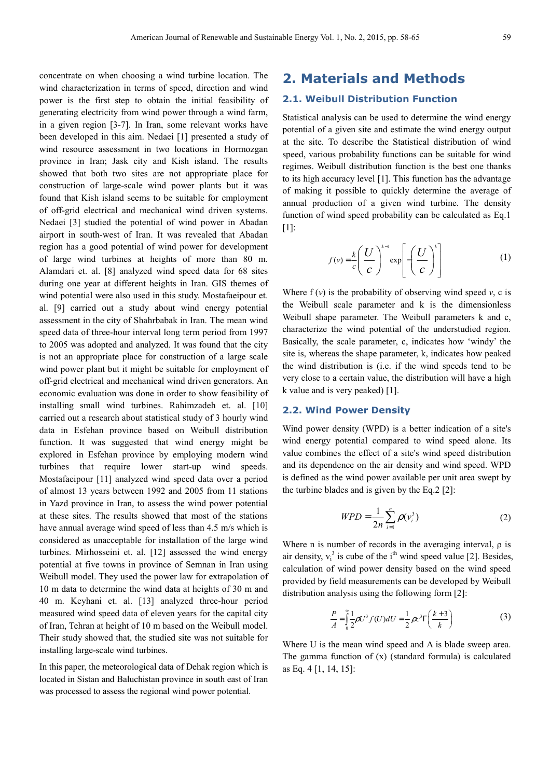concentrate on when choosing a wind turbine location. The wind characterization in terms of speed, direction and wind power is the first step to obtain the initial feasibility of generating electricity from wind power through a wind farm, in a given region [3-7]. In Iran, some relevant works have been developed in this aim. Nedaei [1] presented a study of wind resource assessment in two locations in Hormozgan province in Iran; Jask city and Kish island. The results showed that both two sites are not appropriate place for construction of large-scale wind power plants but it was found that Kish island seems to be suitable for employment of off-grid electrical and mechanical wind driven systems. Nedaei [3] studied the potential of wind power in Abadan airport in south-west of Iran. It was revealed that Abadan region has a good potential of wind power for development of large wind turbines at heights of more than 80 m. Alamdari et. al. [8] analyzed wind speed data for 68 sites during one year at different heights in Iran. GIS themes of wind potential were also used in this study. Mostafaeipour et. al. [9] carried out a study about wind energy potential assessment in the city of Shahrbabak in Iran. The mean wind speed data of three-hour interval long term period from 1997 to 2005 was adopted and analyzed. It was found that the city is not an appropriate place for construction of a large scale wind power plant but it might be suitable for employment of off-grid electrical and mechanical wind driven generators. An economic evaluation was done in order to show feasibility of installing small wind turbines. Rahimzadeh et. al. [10] carried out a research about statistical study of 3 hourly wind data in Esfehan province based on Weibull distribution function. It was suggested that wind energy might be explored in Esfehan province by employing modern wind turbines that require lower start-up wind speeds. Mostafaeipour [11] analyzed wind speed data over a period of almost 13 years between 1992 and 2005 from 11 stations in Yazd province in Iran, to assess the wind power potential at these sites. The results showed that most of the stations have annual average wind speed of less than 4.5 m/s which is considered as unacceptable for installation of the large wind turbines. Mirhosseini et. al. [12] assessed the wind energy potential at five towns in province of Semnan in Iran using Weibull model. They used the power law for extrapolation of 10 m data to determine the wind data at heights of 30 m and 40 m. Keyhani et. al. [13] analyzed three-hour period measured wind speed data of eleven years for the capital city of Iran, Tehran at height of 10 m based on the Weibull model. Their study showed that, the studied site was not suitable for installing large-scale wind turbines.

In this paper, the meteorological data of Dehak region which is located in Sistan and Baluchistan province in south east of Iran was processed to assess the regional wind power potential.

### **2. Materials and Methods**

#### **2.1. Weibull Distribution Function**

Statistical analysis can be used to determine the wind energy potential of a given site and estimate the wind energy output at the site. To describe the Statistical distribution of wind speed, various probability functions can be suitable for wind regimes. Weibull distribution function is the best one thanks to its high accuracy level [1]. This function has the advantage of making it possible to quickly determine the average of annual production of a given wind turbine. The density function of wind speed probability can be calculated as Eq.1 [1]:

$$
f(v) = \frac{k}{c} \left(\frac{U}{c}\right)^{k-1} \exp\left[-\left(\frac{U}{c}\right)^{k}\right]
$$
 (1)

Where  $f(v)$  is the probability of observing wind speed  $v$ , c is the Weibull scale parameter and k is the dimensionless Weibull shape parameter. The Weibull parameters k and c, characterize the wind potential of the understudied region. Basically, the scale parameter, c, indicates how 'windy' the site is, whereas the shape parameter, k, indicates how peaked the wind distribution is (i.e. if the wind speeds tend to be very close to a certain value, the distribution will have a high k value and is very peaked) [1].

#### **2.2. Wind Power Density**

Wind power density (WPD) is a better indication of a site's wind energy potential compared to wind speed alone. Its value combines the effect of a site's wind speed distribution and its dependence on the air density and wind speed. WPD is defined as the wind power available per unit area swept by the turbine blades and is given by the Eq.2 [2]:

$$
WPD = \frac{1}{2n} \sum_{i=1}^{n} \rho(v_i^3)
$$
 (2)

Where n is number of records in the averaging interval,  $\rho$  is air density,  $v_i^3$  is cube of the i<sup>th</sup> wind speed value [2]. Besides, calculation of wind power density based on the wind speed provided by field measurements can be developed by Weibull distribution analysis using the following form [2]:

$$
\frac{P}{A} = \int_{0}^{\infty} \frac{1}{2} \rho U^3 f(U) dU = \frac{1}{2} \rho c^3 \Gamma \left( \frac{k+3}{k} \right)
$$
 (3)

Where U is the mean wind speed and A is blade sweep area. The gamma function of  $(x)$  (standard formula) is calculated as Eq. 4 [1, 14, 15]: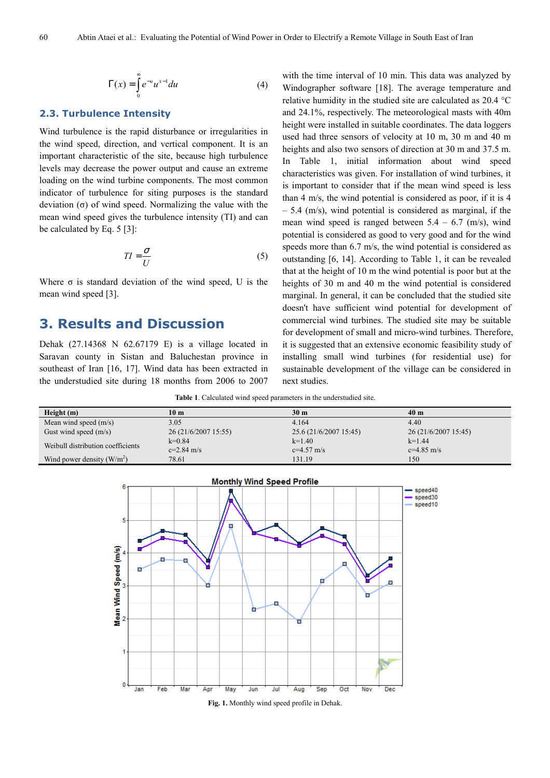$$
\Gamma(x) = \int_{0}^{\infty} e^{-u} u^{x-1} du
$$
 (4)

#### **2.3. Turbulence Intensity**

Wind turbulence is the rapid disturbance or irregularities in the wind speed, direction, and vertical component. It is an important characteristic of the site, because high turbulence levels may decrease the power output and cause an extreme loading on the wind turbine components. The most common indicator of turbulence for siting purposes is the standard deviation (σ) of wind speed. Normalizing the value with the mean wind speed gives the turbulence intensity (TI) and can be calculated by Eq. 5 [3]:

$$
TI = \frac{\sigma}{U} \tag{5}
$$

Where  $\sigma$  is standard deviation of the wind speed, U is the mean wind speed [3].

### **3. Results and Discussion**

Dehak (27.14368 N 62.67179 E) is a village located in Saravan county in Sistan and Baluchestan province in southeast of Iran [16, 17]. Wind data has been extracted in the understudied site during 18 months from 2006 to 2007 with the time interval of 10 min. This data was analyzed by Windographer software [18]. The average temperature and relative humidity in the studied site are calculated as 20.4 °C and 24.1%, respectively. The meteorological masts with 40m height were installed in suitable coordinates. The data loggers used had three sensors of velocity at 10 m, 30 m and 40 m heights and also two sensors of direction at 30 m and 37.5 m. In Table 1, initial information about wind speed characteristics was given. For installation of wind turbines, it is important to consider that if the mean wind speed is less than 4 m/s, the wind potential is considered as poor, if it is 4 – 5.4 (m/s), wind potential is considered as marginal, if the mean wind speed is ranged between  $5.4 - 6.7$  (m/s), wind potential is considered as good to very good and for the wind speeds more than 6.7 m/s, the wind potential is considered as outstanding [6, 14]. According to Table 1, it can be revealed that at the height of 10 m the wind potential is poor but at the heights of 30 m and 40 m the wind potential is considered marginal. In general, it can be concluded that the studied site doesn't have sufficient wind potential for development of commercial wind turbines. The studied site may be suitable for development of small and micro-wind turbines. Therefore, it is suggested that an extensive economic feasibility study of installing small wind turbines (for residential use) for sustainable development of the village can be considered in next studies.

**Table 1**. Calculated wind speed parameters in the understudied site.

| Height(m)                         | 10 <sub>m</sub>      | 30 <sub>m</sub>        | 40 <sub>m</sub>      |
|-----------------------------------|----------------------|------------------------|----------------------|
| Mean wind speed $(m/s)$           | 3.05                 | 4.164                  | 4.40                 |
| Gust wind speed $(m/s)$           | 26 (21/6/2007 15:55) | 25.6 (21/6/2007 15:45) | 26 (21/6/2007 15:45) |
| Weibull distribution coefficients | $k=0.84$             | $k=1.40$               | $k=1.44$             |
|                                   | $c=2.84$ m/s         | $c=4.57$ m/s           | $c=4.85$ m/s         |
| Wind power density $(W/m^2)$      | 78.61                | 131.19                 | 150                  |



**Fig. 1.** Monthly wind speed profile in Dehak.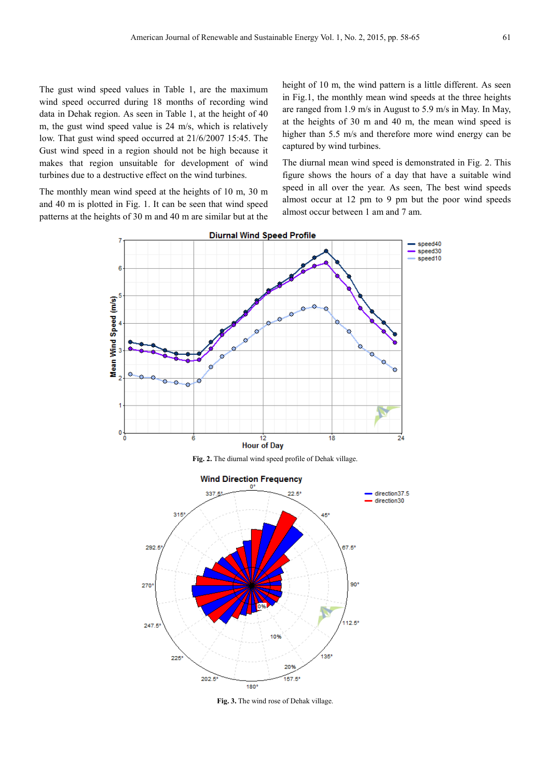The gust wind speed values in Table 1, are the maximum wind speed occurred during 18 months of recording wind data in Dehak region. As seen in Table 1, at the height of 40 m, the gust wind speed value is 24 m/s, which is relatively low. That gust wind speed occurred at 21/6/2007 15:45. The Gust wind speed in a region should not be high because it makes that region unsuitable for development of wind turbines due to a destructive effect on the wind turbines.

The monthly mean wind speed at the heights of 10 m, 30 m and 40 m is plotted in Fig. 1. It can be seen that wind speed patterns at the heights of 30 m and 40 m are similar but at the height of 10 m, the wind pattern is a little different. As seen in Fig.1, the monthly mean wind speeds at the three heights are ranged from 1.9 m/s in August to 5.9 m/s in May. In May, at the heights of 30 m and 40 m, the mean wind speed is higher than 5.5 m/s and therefore more wind energy can be captured by wind turbines.

The diurnal mean wind speed is demonstrated in Fig. 2. This figure shows the hours of a day that have a suitable wind speed in all over the year. As seen, The best wind speeds almost occur at 12 pm to 9 pm but the poor wind speeds almost occur between 1 am and 7 am.



**Fig. 2.** The diurnal wind speed profile of Dehak village.



**Fig. 3.** The wind rose of Dehak village.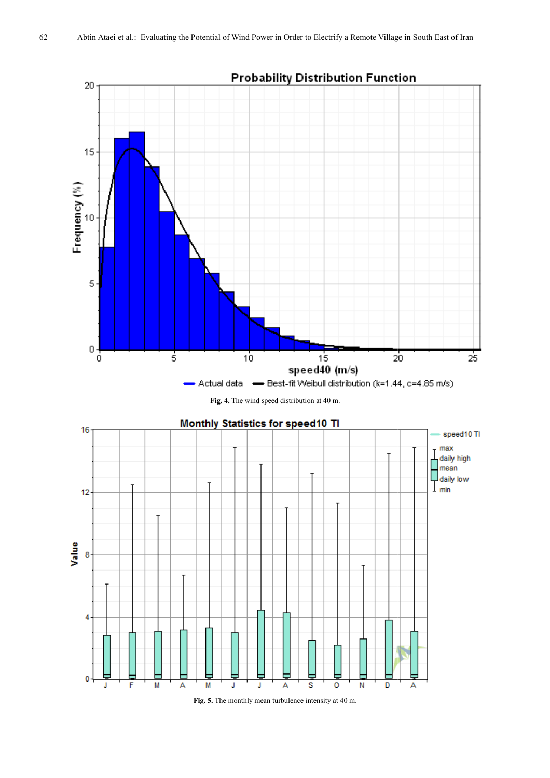

**Fig. 4.** The wind speed distribution at 40 m.



**Fig. Fig. 5.** The monthly mean turbulence intensity at 40 m.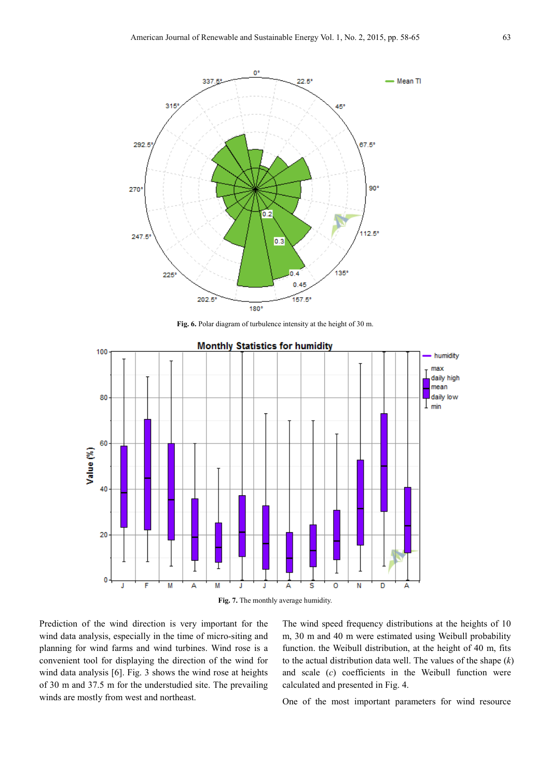

**Fig. 6.** Polar diagram of turbulence intensity at the height of 30 m.



Prediction of the wind direction is very important for the wind data analysis, especially in the time of micro-siting and planning for wind farms and wind turbines. Wind rose is a convenient tool for displaying the direction of the wind for wind data analysis [6]. Fig. 3 shows the wind rose at heights of 30 m and 37.5 m for the understudied site. The prevailing winds are mostly from west and northeast.

The wind speed frequency distributions at the heights of 10 m, 30 m and 40 m were estimated using Weibull probability function. the Weibull distribution, at the height of 40 m, fits to the actual distribution data well. The values of the shape (*k*) and scale (*c*) coefficients in the Weibull function were calculated and presented in Fig. 4.

One of the most important parameters for wind resource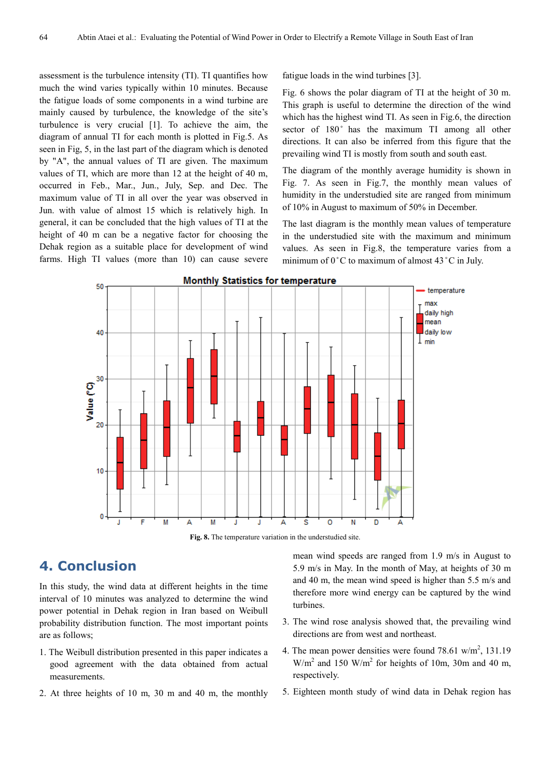assessment is the turbulence intensity (TI). TI quantifies how much the wind varies typically within 10 minutes. Because the fatigue loads of some components in a wind turbine are mainly caused by turbulence, the knowledge of the site's turbulence is very crucial [1]. To achieve the aim, the diagram of annual TI for each month is plotted in Fig.5. As seen in Fig, 5, in the last part of the diagram which is denoted by "A", the annual values of TI are given. The maximum values of TI, which are more than 12 at the height of 40 m, occurred in Feb., Mar., Jun., July, Sep. and Dec. The maximum value of TI in all over the year was observed in Jun. with value of almost 15 which is relatively high. In general, it can be concluded that the high values of TI at the height of 40 m can be a negative factor for choosing the Dehak region as a suitable place for development of wind farms. High TI values (more than 10) can cause severe fatigue loads in the wind turbines [3].

Fig. 6 shows the polar diagram of TI at the height of 30 m. This graph is useful to determine the direction of the wind which has the highest wind TI. As seen in Fig.6, the direction sector of 180° has the maximum TI among all other directions. It can also be inferred from this figure that the prevailing wind TI is mostly from south and south east.

The diagram of the monthly average humidity is shown in Fig. 7. As seen in Fig.7, the monthly mean values of humidity in the understudied site are ranged from minimum of 10% in August to maximum of 50% in December.

The last diagram is the monthly mean values of temperature in the understudied site with the maximum and minimum values. As seen in Fig.8, the temperature varies from a minimum of  $0^{\circ}$ C to maximum of almost 43  $^{\circ}$ C in July.



**Fig. 8.** The temperature variation in the understudied site.

## **4. Conclusion**

In this study, the wind data at different heights in the time interval of 10 minutes was analyzed to determine the wind power potential in Dehak region in Iran based on Weibull probability distribution function. The most important points are as follows;

- 1. The Weibull distribution presented in this paper indicates a good agreement with the data obtained from actual measurements.
- 2. At three heights of 10 m, 30 m and 40 m, the monthly

mean wind speeds are ranged from 1.9 m/s in August to 5.9 m/s in May. In the month of May, at heights of 30 m and 40 m, the mean wind speed is higher than 5.5 m/s and therefore more wind energy can be captured by the wind turbines.

- 3. The wind rose analysis showed that, the prevailing wind directions are from west and northeast.
- 4. The mean power densities were found  $78.61 \text{ w/m}^2$ , 131.19  $W/m<sup>2</sup>$  and 150  $W/m<sup>2</sup>$  for heights of 10m, 30m and 40 m, respectively.
- 5. Eighteen month study of wind data in Dehak region has